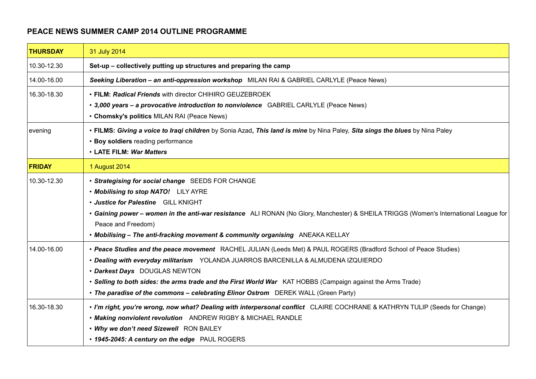## **PEACE NEWS SUMMER CAMP 2014 OUTLINE PROGRAMME**

| <b>THURSDAY</b> | 31 July 2014                                                                                                                                                                                                                                                                                                                                                                                                                                  |
|-----------------|-----------------------------------------------------------------------------------------------------------------------------------------------------------------------------------------------------------------------------------------------------------------------------------------------------------------------------------------------------------------------------------------------------------------------------------------------|
| 10.30-12.30     | Set-up - collectively putting up structures and preparing the camp                                                                                                                                                                                                                                                                                                                                                                            |
| 14.00-16.00     | Seeking Liberation - an anti-oppression workshop MILAN RAI & GABRIEL CARLYLE (Peace News)                                                                                                                                                                                                                                                                                                                                                     |
| 16.30-18.30     | • FILM: Radical Friends with director CHIHIRO GEUZEBROEK<br>• 3,000 years - a provocative introduction to nonviolence GABRIEL CARLYLE (Peace News)<br>• Chomsky's politics MILAN RAI (Peace News)                                                                                                                                                                                                                                             |
| evening         | . FILMS: Giving a voice to Iraqi children by Sonia Azad, This land is mine by Nina Paley, Sita sings the blues by Nina Paley<br>• Boy soldiers reading performance<br>• LATE FILM: War Matters                                                                                                                                                                                                                                                |
| <b>FRIDAY</b>   | 1 August 2014                                                                                                                                                                                                                                                                                                                                                                                                                                 |
| 10.30-12.30     | • Strategising for social change SEEDS FOR CHANGE<br>• Mobilising to stop NATO! LILY AYRE<br>· Justice for Palestine GILL KNIGHT<br>• Gaining power - women in the anti-war resistance ALI RONAN (No Glory, Manchester) & SHEILA TRIGGS (Women's International League for<br>Peace and Freedom)<br>. Mobilising - The anti-fracking movement & community organising ANEAKA KELLAY                                                             |
| 14.00-16.00     | • Peace Studies and the peace movement RACHEL JULIAN (Leeds Met) & PAUL ROGERS (Bradford School of Peace Studies)<br>. Dealing with everyday militarism YOLANDA JUARROS BARCENILLA & ALMUDENA IZQUIERDO<br>• Darkest Days DOUGLAS NEWTON<br>. Selling to both sides: the arms trade and the First World War KAT HOBBS (Campaign against the Arms Trade)<br>• The paradise of the commons - celebrating Elinor Ostrom DEREK WALL (Green Party) |
| 16.30-18.30     | . I'm right, you're wrong, now what? Dealing with interpersonal conflict CLAIRE COCHRANE & KATHRYN TULIP (Seeds for Change)<br>• Making nonviolent revolution    ANDREW RIGBY & MICHAEL RANDLE<br>. Why we don't need Sizewell RON BAILEY<br>• 1945-2045: A century on the edge PAUL ROGERS                                                                                                                                                   |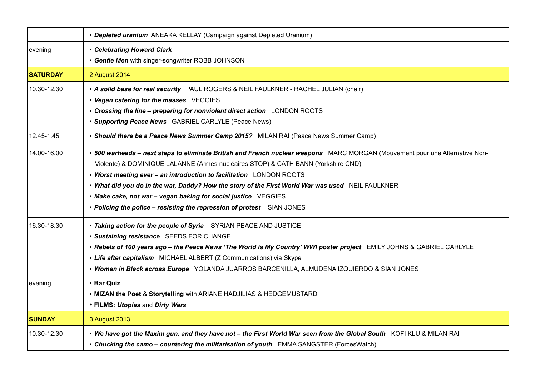|                 | • Depleted uranium ANEAKA KELLAY (Campaign against Depleted Uranium)                                                         |
|-----------------|------------------------------------------------------------------------------------------------------------------------------|
| evening         | • Celebrating Howard Clark                                                                                                   |
|                 | • Gentle Men with singer-songwriter ROBB JOHNSON                                                                             |
| <b>SATURDAY</b> | 2 August 2014                                                                                                                |
| 10.30-12.30     | . A solid base for real security PAUL ROGERS & NEIL FAULKNER - RACHEL JULIAN (chair)                                         |
|                 | • Vegan catering for the masses VEGGIES                                                                                      |
|                 | • Crossing the line - preparing for nonviolent direct action LONDON ROOTS                                                    |
|                 | • Supporting Peace News GABRIEL CARLYLE (Peace News)                                                                         |
| 12.45-1.45      | • Should there be a Peace News Summer Camp 2015? MILAN RAI (Peace News Summer Camp)                                          |
| 14.00-16.00     | • 500 warheads - next steps to eliminate British and French nuclear weapons MARC MORGAN (Mouvement pour une Alternative Non- |
|                 | Violente) & DOMINIQUE LALANNE (Armes nucléaires STOP) & CATH BANN (Yorkshire CND)                                            |
|                 | • Worst meeting ever - an introduction to facilitation LONDON ROOTS                                                          |
|                 | . What did you do in the war, Daddy? How the story of the First World War was used NEIL FAULKNER                             |
|                 | • Make cake, not war - vegan baking for social justice VEGGIES                                                               |
|                 | • Policing the police - resisting the repression of protest SIAN JONES                                                       |
| 16.30-18.30     | . Taking action for the people of Syria SYRIAN PEACE AND JUSTICE                                                             |
|                 | · Sustaining resistance SEEDS FOR CHANGE                                                                                     |
|                 | . Rebels of 100 years ago - the Peace News 'The World is My Country' WWI poster project EMILY JOHNS & GABRIEL CARLYLE        |
|                 | • Life after capitalism MICHAEL ALBERT (Z Communications) via Skype                                                          |
|                 | . Women in Black across Europe YOLANDA JUARROS BARCENILLA, ALMUDENA IZQUIERDO & SIAN JONES                                   |
| evening         | • Bar Quiz                                                                                                                   |
|                 | . MIZAN the Poet & Storytelling with ARIANE HADJILIAS & HEDGEMUSTARD                                                         |
|                 | • FILMS: Utopias and Dirty Wars                                                                                              |
| <b>SUNDAY</b>   | 3 August 2013                                                                                                                |
| 10.30-12.30     | • We have got the Maxim gun, and they have not - the First World War seen from the Global South KOFI KLU & MILAN RAI         |
|                 | • Chucking the camo - countering the militarisation of youth EMMA SANGSTER (ForcesWatch)                                     |